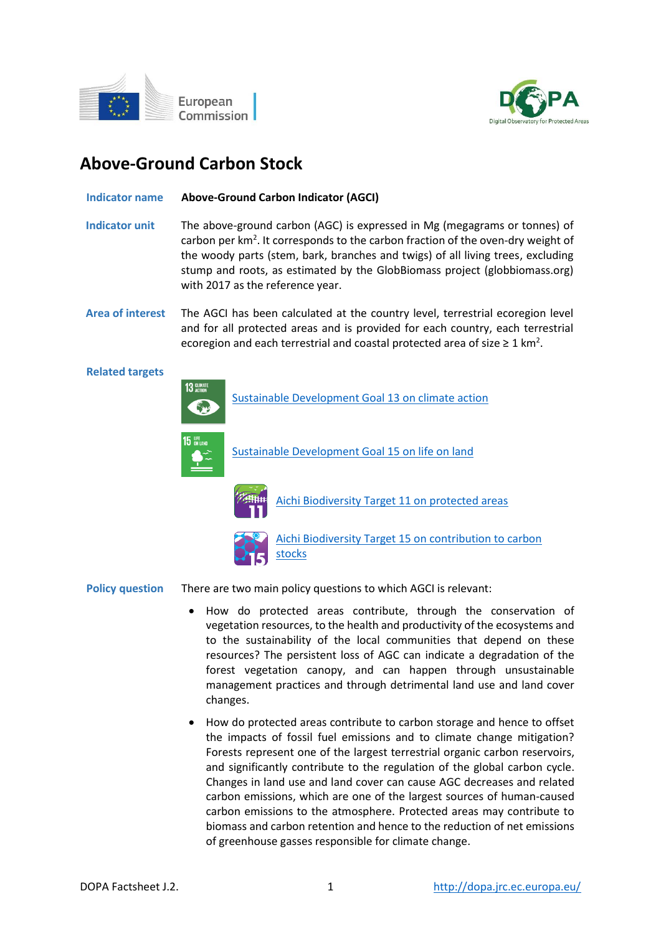



# **Above-Ground Carbon Stock**

## **Indicator name Above-Ground Carbon Indicator (AGCI)**

- **Indicator unit** The above-ground carbon (AGC) is expressed in Mg (megagrams or tonnes) of carbon per km<sup>2</sup>. It corresponds to the carbon fraction of the oven-dry weight of the woody parts (stem, bark, branches and twigs) of all living trees, excluding stump and roots, as estimated by the GlobBiomass project (globbiomass.org) with 2017 as the reference year.
- **Area of interest** The AGCI has been calculated at the country level, terrestrial ecoregion level and for all protected areas and is provided for each country, each terrestrial ecoregion and each terrestrial and coastal protected area of size  $\geq 1$  km<sup>2</sup>.

#### **Related targets**



[Sustainable Development Goal 13 on climate action](https://sdgs.un.org/goals/goal13)



[Sustainable Development Goal 15 on life on land](https://sdgs.un.org/goals/goal15)



[Aichi Biodiversity Target 11 on protected areas](http://www.cbd.int/sp/targets/rationale/target-11/)



[Aichi Biodiversity Target 15 on contribution to carbon](http://www.cbd.int/sp/targets/rationale/target-15/)  [stocks](http://www.cbd.int/sp/targets/rationale/target-15/)

## **Policy question** There are two main policy questions to which AGCI is relevant:

- How do protected areas contribute, through the conservation of vegetation resources, to the health and productivity of the ecosystems and to the sustainability of the local communities that depend on these resources? The persistent loss of AGC can indicate a degradation of the forest vegetation canopy, and can happen through unsustainable management practices and through detrimental land use and land cover changes.
- How do protected areas contribute to carbon storage and hence to offset the impacts of fossil fuel emissions and to climate change mitigation? Forests represent one of the largest terrestrial organic carbon reservoirs, and significantly contribute to the regulation of the global carbon cycle. Changes in land use and land cover can cause AGC decreases and related carbon emissions, which are one of the largest sources of human-caused carbon emissions to the atmosphere. Protected areas may contribute to biomass and carbon retention and hence to the reduction of net emissions of greenhouse gasses responsible for climate change.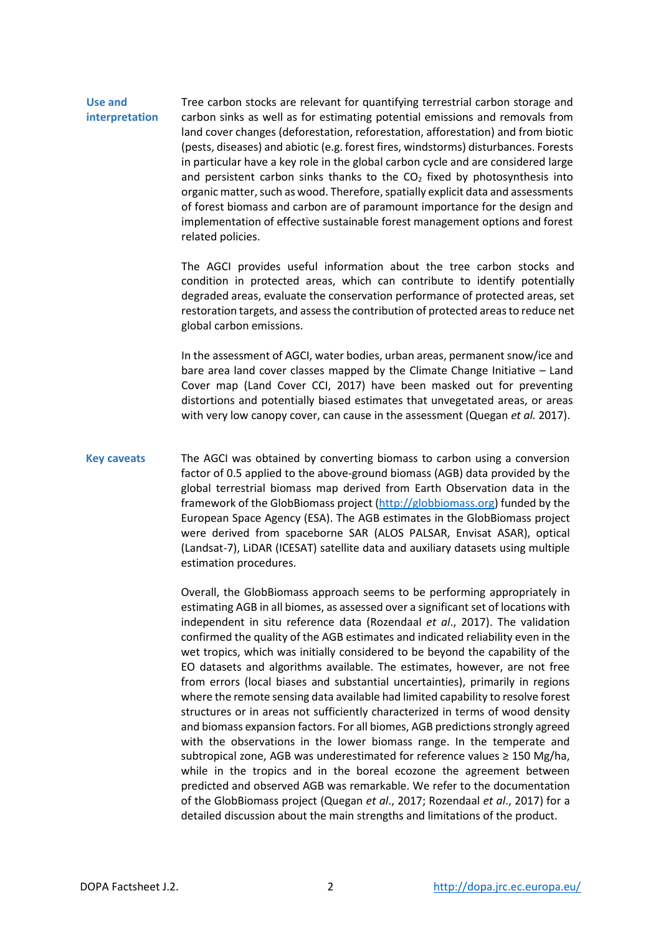## **Use and interpretation** Tree carbon stocks are relevant for quantifying terrestrial carbon storage and carbon sinks as well as for estimating potential emissions and removals from

land cover changes (deforestation, reforestation, afforestation) and from biotic (pests, diseases) and abiotic (e.g. forest fires, windstorms) disturbances. Forests in particular have a key role in the global carbon cycle and are considered large and persistent carbon sinks thanks to the  $CO<sub>2</sub>$  fixed by photosynthesis into organic matter, such as wood. Therefore, spatially explicit data and assessments of forest biomass and carbon are of paramount importance for the design and implementation of effective sustainable forest management options and forest related policies.

The AGCI provides useful information about the tree carbon stocks and condition in protected areas, which can contribute to identify potentially degraded areas, evaluate the conservation performance of protected areas, set restoration targets, and assess the contribution of protected areas to reduce net global carbon emissions.

In the assessment of AGCI, water bodies, urban areas, permanent snow/ice and bare area land cover classes mapped by the Climate Change Initiative – Land Cover map (Land Cover CCI, 2017) have been masked out for preventing distortions and potentially biased estimates that unvegetated areas, or areas with very low canopy cover, can cause in the assessment (Quegan *et al.* 2017).

**Key caveats** The AGCI was obtained by converting biomass to carbon using a conversion factor of 0.5 applied to the above-ground biomass (AGB) data provided by the global terrestrial biomass map derived from Earth Observation data in the framework of the GlobBiomass project [\(http://globbiomass.org\)](http://globbiomass.org/)) funded by the European Space Agency (ESA). The AGB estimates in the GlobBiomass project were derived from spaceborne SAR (ALOS PALSAR, Envisat ASAR), optical (Landsat-7), LiDAR (ICESAT) satellite data and auxiliary datasets using multiple estimation procedures.

> Overall, the GlobBiomass approach seems to be performing appropriately in estimating AGB in all biomes, as assessed over a significant set of locations with independent in situ reference data (Rozendaal *et al*., 2017). The validation confirmed the quality of the AGB estimates and indicated reliability even in the wet tropics, which was initially considered to be beyond the capability of the EO datasets and algorithms available. The estimates, however, are not free from errors (local biases and substantial uncertainties), primarily in regions where the remote sensing data available had limited capability to resolve forest structures or in areas not sufficiently characterized in terms of wood density and biomass expansion factors. For all biomes, AGB predictions strongly agreed with the observations in the lower biomass range. In the temperate and subtropical zone, AGB was underestimated for reference values  $\geq$  150 Mg/ha, while in the tropics and in the boreal ecozone the agreement between predicted and observed AGB was remarkable. We refer to the documentation of the GlobBiomass project (Quegan *et al*., 2017; Rozendaal *et al*., 2017) for a detailed discussion about the main strengths and limitations of the product.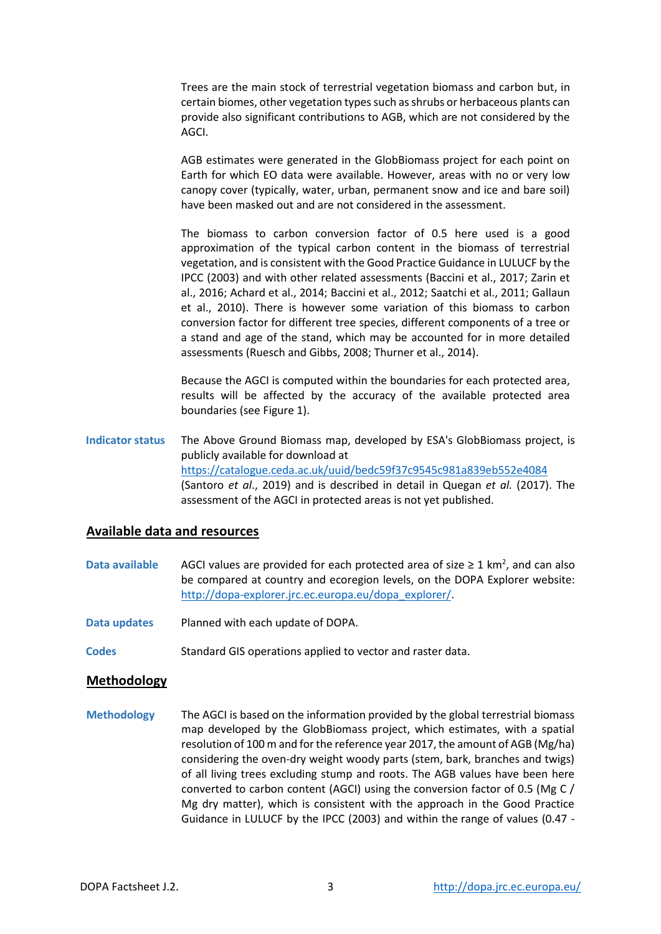Trees are the main stock of terrestrial vegetation biomass and carbon but, in certain biomes, other vegetation types such as shrubs or herbaceous plants can provide also significant contributions to AGB, which are not considered by the AGCI.

AGB estimates were generated in the GlobBiomass project for each point on Earth for which EO data were available. However, areas with no or very low canopy cover (typically, water, urban, permanent snow and ice and bare soil) have been masked out and are not considered in the assessment.

The biomass to carbon conversion factor of 0.5 here used is a good approximation of the typical carbon content in the biomass of terrestrial vegetation, and is consistent with the Good Practice Guidance in LULUCF by the IPCC (2003) and with other related assessments (Baccini et al., 2017; Zarin et al., 2016; Achard et al., 2014; Baccini et al., 2012; Saatchi et al., 2011; Gallaun et al., 2010). There is however some variation of this biomass to carbon conversion factor for different tree species, different components of a tree or a stand and age of the stand, which may be accounted for in more detailed assessments (Ruesch and Gibbs, 2008; Thurner et al., 2014).

Because the AGCI is computed within the boundaries for each protected area, results will be affected by the accuracy of the available protected area boundaries (see Figure 1).

**Indicator status** The Above Ground Biomass map, developed by ESA's GlobBiomass project, is publicly available for download at <https://catalogue.ceda.ac.uk/uuid/bedc59f37c9545c981a839eb552e4084> (Santoro *et al*., 2019) and is described in detail in Quegan *et al.* (2017). The assessment of the AGCI in protected areas is not yet published.

# **Available data and resources**

- Data available AGCI values are provided for each protected area of size ≥ 1 km<sup>2</sup>, and can also be compared at country and ecoregion levels, on the DOPA Explorer website: [http://dopa-explorer.jrc.ec.europa.eu/dopa\\_explorer/.](http://dopa-explorer.jrc.ec.europa.eu/dopa_explorer/)
- **Data updates** Planned with each update of DOPA.
- **Codes** Standard GIS operations applied to vector and raster data.

## **Methodology**

**Methodology** The AGCI is based on the information provided by the global terrestrial biomass map developed by the GlobBiomass project, which estimates, with a spatial resolution of 100 m and for the reference year 2017, the amount of AGB (Mg/ha) considering the oven-dry weight woody parts (stem, bark, branches and twigs) of all living trees excluding stump and roots. The AGB values have been here converted to carbon content (AGCI) using the conversion factor of 0.5 (Mg C / Mg dry matter), which is consistent with the approach in the Good Practice Guidance in LULUCF by the IPCC (2003) and within the range of values (0.47 -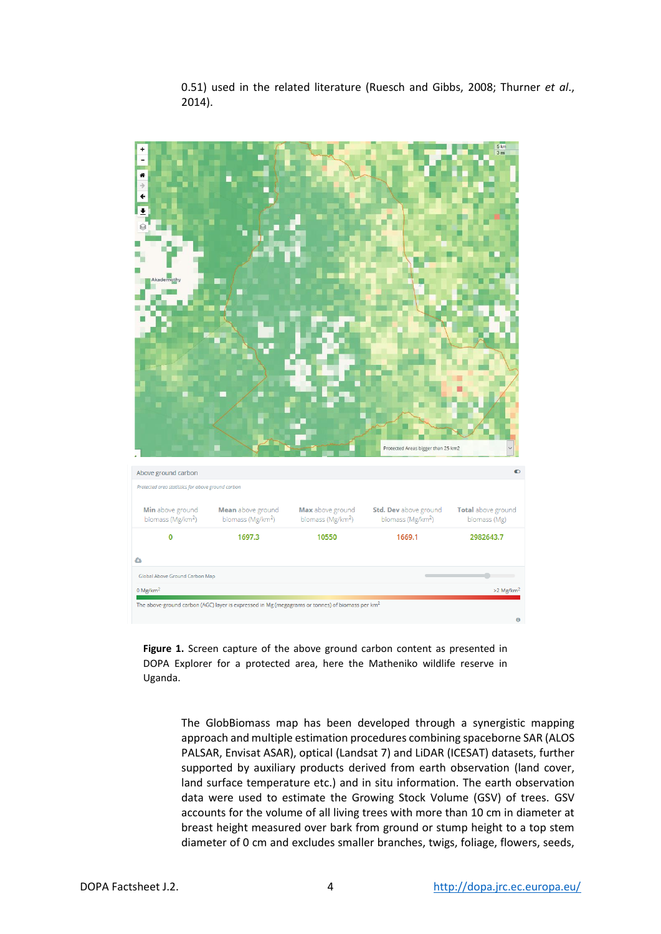

0.51) used in the related literature (Ruesch and Gibbs, 2008; Thurner *et al*., 2014).

**Figure 1.** Screen capture of the above ground carbon content as presented in DOPA Explorer for a protected area, here the Matheniko wildlife reserve in Uganda.

> The GlobBiomass map has been developed through a synergistic mapping approach and multiple estimation procedures combining spaceborne SAR (ALOS PALSAR, Envisat ASAR), optical (Landsat 7) and LiDAR (ICESAT) datasets, further supported by auxiliary products derived from earth observation (land cover, land surface temperature etc.) and in situ information. The earth observation data were used to estimate the Growing Stock Volume (GSV) of trees. GSV accounts for the volume of all living trees with more than 10 cm in diameter at breast height measured over bark from ground or stump height to a top stem diameter of 0 cm and excludes smaller branches, twigs, foliage, flowers, seeds,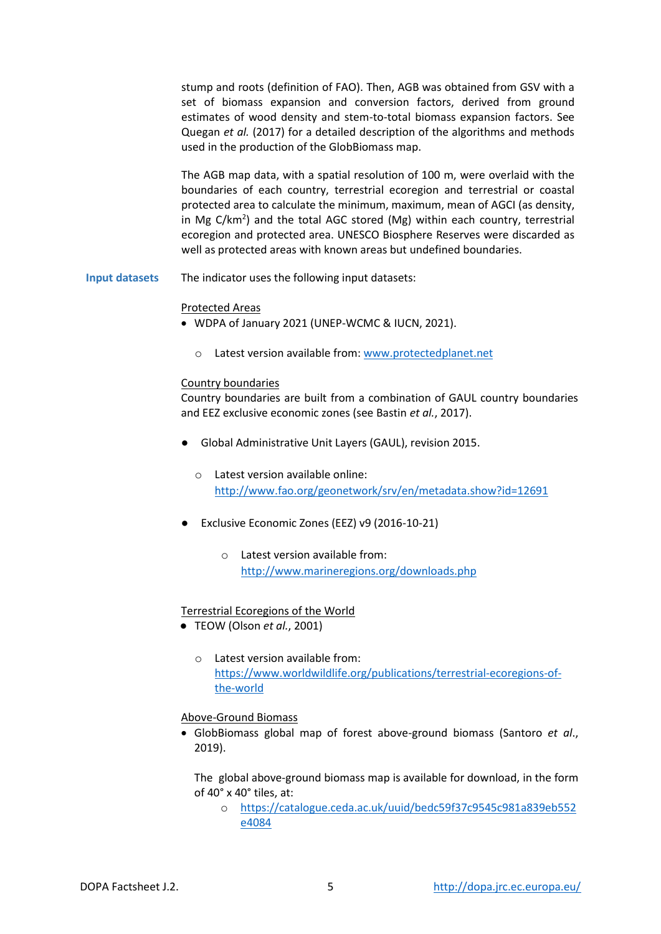stump and roots (definition of FAO). Then, AGB was obtained from GSV with a set of biomass expansion and conversion factors, derived from ground estimates of wood density and stem-to-total biomass expansion factors. See Quegan *et al.* (2017) for a detailed description of the algorithms and methods used in the production of the GlobBiomass map.

The AGB map data, with a spatial resolution of 100 m, were overlaid with the boundaries of each country, terrestrial ecoregion and terrestrial or coastal protected area to calculate the minimum, maximum, mean of AGCI (as density, in Mg  $C/km^2$ ) and the total AGC stored (Mg) within each country, terrestrial ecoregion and protected area. UNESCO Biosphere Reserves were discarded as well as protected areas with known areas but undefined boundaries.

**Input datasets** The indicator uses the following input datasets:

#### Protected Areas

- WDPA of January 2021 (UNEP-WCMC & IUCN, 2021).
	- o Latest version available from[: www.protectedplanet.net](http://www.protectedplanet.net/)

#### Country boundaries

Country boundaries are built from a combination of GAUL country boundaries and EEZ exclusive economic zones (see Bastin *et al.*, 2017).

- Global Administrative Unit Layers (GAUL), revision 2015.
	- o Latest version available online: <http://www.fao.org/geonetwork/srv/en/metadata.show?id=12691>
- Exclusive Economic Zones (EEZ) v9 (2016-10-21)
	- $\circ$  Latest version available from: <http://www.marineregions.org/downloads.php>

## Terrestrial Ecoregions of the World

- TEOW (Olson *et al.*, 2001)
	- o Latest version available from: [https://www.worldwildlife.org/publications/terrestrial-ecoregions-of](https://www.worldwildlife.org/publications/terrestrial-ecoregions-of-the-world)[the-world](https://www.worldwildlife.org/publications/terrestrial-ecoregions-of-the-world)

#### Above-Ground Biomass

 GlobBiomass global map of forest above-ground biomass (Santoro *et al*., 2019).

The global above-ground biomass map is available for download, in the form of 40° x 40° tiles, at:

o [https://catalogue.ceda.ac.uk/uuid/bedc59f37c9545c981a839eb552](https://catalogue.ceda.ac.uk/uuid/bedc59f37c9545c981a839eb552e4084) [e4084](https://catalogue.ceda.ac.uk/uuid/bedc59f37c9545c981a839eb552e4084)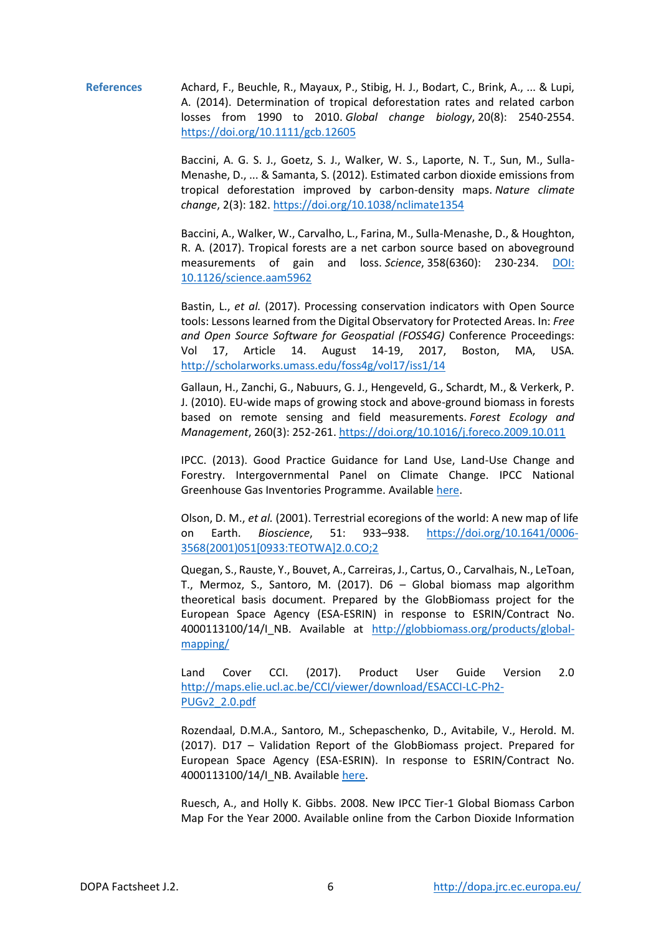**References** Achard, F., Beuchle, R., Mayaux, P., Stibig, H. J., Bodart, C., Brink, A., ... & Lupi, A. (2014). Determination of tropical deforestation rates and related carbon losses from 1990 to 2010. *Global change biology*, 20(8): 2540-2554. <https://doi.org/10.1111/gcb.12605>

> Baccini, A. G. S. J., Goetz, S. J., Walker, W. S., Laporte, N. T., Sun, M., Sulla-Menashe, D., ... & Samanta, S. (2012). Estimated carbon dioxide emissions from tropical deforestation improved by carbon-density maps. *Nature climate change*, 2(3): 182. <https://doi.org/10.1038/nclimate1354>

> Baccini, A., Walker, W., Carvalho, L., Farina, M., Sulla-Menashe, D., & Houghton, R. A. (2017). Tropical forests are a net carbon source based on aboveground measurements of gain and loss. *Science*, 358(6360): 230-234. [DOI:](http://science.sciencemag.org/content/358/6360/230.abstract)  [10.1126/science.aam5962](http://science.sciencemag.org/content/358/6360/230.abstract)

> Bastin, L., *et al.* (2017). Processing conservation indicators with Open Source tools: Lessons learned from the Digital Observatory for Protected Areas. In: *Free and Open Source Software for Geospatial (FOSS4G)* Conference Proceedings: Vol 17, Article 14. August 14-19, 2017, Boston, MA, USA. <http://scholarworks.umass.edu/foss4g/vol17/iss1/14>

> Gallaun, H., Zanchi, G., Nabuurs, G. J., Hengeveld, G., Schardt, M., & Verkerk, P. J. (2010). EU-wide maps of growing stock and above-ground biomass in forests based on remote sensing and field measurements. *Forest Ecology and Management*, 260(3): 252-261[. https://doi.org/10.1016/j.foreco.2009.10.011](https://doi.org/10.1016/j.foreco.2009.10.011)

> IPCC. (2013). Good Practice Guidance for Land Use, Land-Use Change and Forestry. Intergovernmental Panel on Climate Change. IPCC National Greenhouse Gas Inventories Programme. Available [here.](file:///D:/GAPPA/Factsheets/at%20https:/www.ipcc-nggip.iges.or.jp/public/gpglulucf/gpglulucf_files/GPG_LULUCF_FULL.pdf)

> Olson, D. M., *et al.* (2001). Terrestrial ecoregions of the world: A new map of life on Earth. *Bioscience*, 51: 933–938. [https://doi.org/10.1641/0006-](https://doi.org/10.1641/0006-3568(2001)051%5b0933:TEOTWA%5d2.0.CO;2) [3568\(2001\)051\[0933:TEOTWA\]2.0.CO;2](https://doi.org/10.1641/0006-3568(2001)051%5b0933:TEOTWA%5d2.0.CO;2)

> Quegan, S., Rauste, Y., Bouvet, A., Carreiras, J., Cartus, O., Carvalhais, N., LeToan, T., Mermoz, S., Santoro, M. (2017). D6 – Global biomass map algorithm theoretical basis document. Prepared by the GlobBiomass project for the European Space Agency (ESA-ESRIN) in response to ESRIN/Contract No. 4000113100/14/I\_NB. Available at [http://globbiomass.org/products/global](http://globbiomass.org/products/global-mapping/)[mapping/](http://globbiomass.org/products/global-mapping/)

> Land Cover CCI. (2017). Product User Guide Version 2.0 [http://maps.elie.ucl.ac.be/CCI/viewer/download/ESACCI-LC-Ph2-](http://maps.elie.ucl.ac.be/CCI/viewer/download/ESACCI-LC-Ph2-PUGv2_2.0.pdf) [PUGv2\\_2.0.pdf](http://maps.elie.ucl.ac.be/CCI/viewer/download/ESACCI-LC-Ph2-PUGv2_2.0.pdf)

> Rozendaal, D.M.A., Santoro, M., Schepaschenko, D., Avitabile, V., Herold. M. (2017). D17 – Validation Report of the GlobBiomass project. Prepared for European Space Agency (ESA-ESRIN). In response to ESRIN/Contract No. 4000113100/14/I\_NB. Available [here.](http://dropbox.gamma-rs.ch/d66f3768-7d87-476a-bd2c-3c86871e01e8/GlobBiomass_D_17_Validation_Report_V06.pdf)

> Ruesch, A., and Holly K. Gibbs. 2008. New IPCC Tier-1 Global Biomass Carbon Map For the Year 2000. Available online from the Carbon Dioxide Information